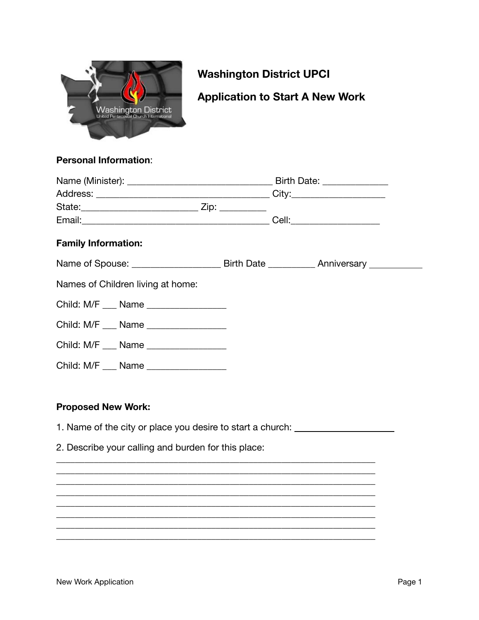

# **Washington District UPCI**

# **Application to Start A New Work**

### **Personal Information:**

|                                       | Birth Date: _______________ |
|---------------------------------------|-----------------------------|
|                                       |                             |
|                                       |                             |
|                                       |                             |
| <b>Family Information:</b>            |                             |
|                                       |                             |
| Names of Children living at home:     |                             |
| Child: M/F ___ Name _________________ |                             |
| Child: M/F ___ Name ________________  |                             |
| Child: M/F ___ Name ________________  |                             |
| Child: M/F __ Name ________________   |                             |
|                                       |                             |

### **Proposed New Work:**

1. Name of the city or place you desire to start a church: \_\_\_\_\_\_\_\_\_\_\_\_\_\_\_\_\_\_\_\_\_

2. Describe your calling and burden for this place: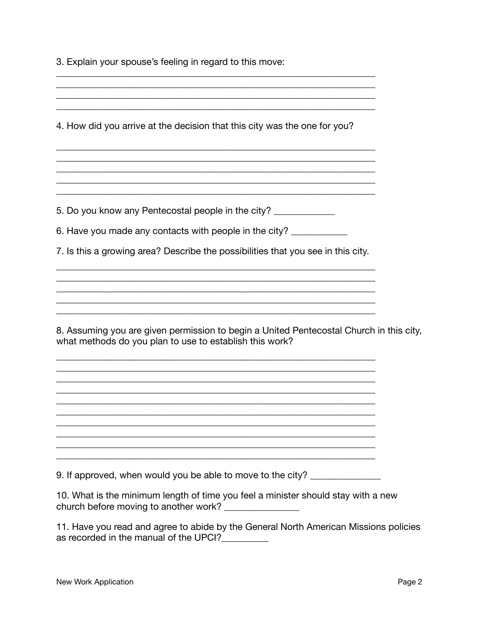3. Explain your spouse's feeling in regard to this move:

| <u> 1989 - Johann Stoff, deutscher Stoff, der Stoff, der Stoff, der Stoff, der Stoff, der Stoff, der Stoff, der S</u>                                                                                                  |  |
|------------------------------------------------------------------------------------------------------------------------------------------------------------------------------------------------------------------------|--|
| 4. How did you arrive at the decision that this city was the one for you?                                                                                                                                              |  |
|                                                                                                                                                                                                                        |  |
| and the control of the control of the control of the control of the control of the control of the control of the<br>5. Do you know any Pentecostal people in the city? ____________                                    |  |
| 6. Have you made any contacts with people in the city? ___________                                                                                                                                                     |  |
| 7. Is this a growing area? Describe the possibilities that you see in this city.                                                                                                                                       |  |
|                                                                                                                                                                                                                        |  |
| 8. Assuming you are given permission to begin a United Pentecostal Church in this city,<br>what methods do you plan to use to establish this work?<br><u> 1989 - John Stein, Amerikaansk konstantinopler (</u> † 1918) |  |
| ,我们也不能在这里的时候,我们也不能在这里的时候,我们也不能会在这里的时候,我们也不能会在这里的时候,我们也不能会在这里的时候,我们也不能会在这里的时候,我们也不<br>,我们也不能在这里的时候,我们也不能在这里的时候,我们也不能会在这里的时候,我们也不能会在这里的时候,我们也不能会在这里的时候,我们也不能会在这里的时候,我们也                                                  |  |
| ,我们也不会有什么。""我们的人,我们也不会有什么?""我们的人,我们也不会有什么?""我们的人,我们也不会有什么?""我们的人,我们也不会有什么?""我们的人<br>,我们也不会有什么。""我们的人,我们也不会有什么?""我们的人,我们也不会有什么?""我们的人,我们也不会有什么?""我们的人,我们也不会有什么?""我们的人                                                   |  |
| <u> 1989 - Jan James James James James James James James James James James James James James James James James J</u><br>9. If approved, when would you be able to move to the city?                                    |  |

10. What is the minimum length of time you feel a minister should stay with a new church before moving to another work? \_\_\_\_\_\_\_\_\_\_\_\_\_\_\_

11. Have you read and agree to abide by the General North American Missions policies as recorded in the manual of the UPCI?\_\_\_\_\_\_\_\_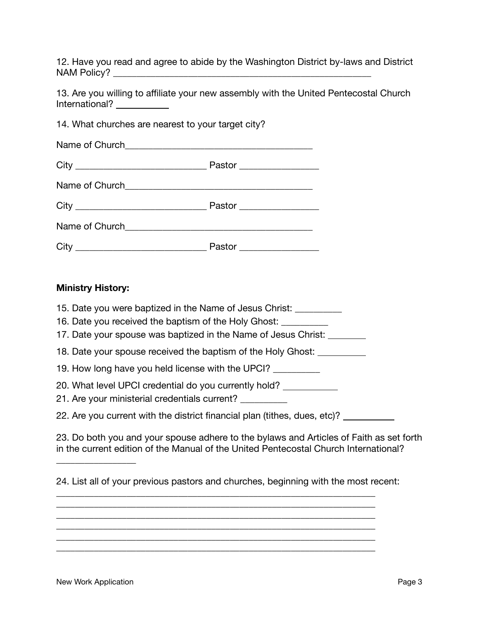12. Have you read and agree to abide by the Washington District by-laws and District NAM Policy? \_\_\_\_\_\_\_\_\_\_\_\_\_\_\_\_\_\_\_\_\_\_\_\_\_\_\_\_\_\_\_\_\_\_\_\_\_\_\_\_\_\_\_\_\_\_\_\_\_\_\_\_\_\_\_

13. Are you willing to affiliate your new assembly with the United Pentecostal Church International? 

| 14. What churches are nearest to your target city? |  |
|----------------------------------------------------|--|
|                                                    |  |
|                                                    |  |
|                                                    |  |
|                                                    |  |
|                                                    |  |
|                                                    |  |

#### **Ministry History:**

| 15. Date you were baptized in the Name of Jesus Christ:<br>16. Date you received the baptism of the Holy Ghost:<br>17. Date your spouse was baptized in the Name of Jesus Christ: _______ |
|-------------------------------------------------------------------------------------------------------------------------------------------------------------------------------------------|
| 18. Date your spouse received the baptism of the Holy Ghost:                                                                                                                              |
| 19. How long have you held license with the UPCI?                                                                                                                                         |
| 20. What level UPCI credential do you currently hold?<br>21. Are your ministerial credentials current?                                                                                    |
| 22. Are you current with the district financial plan (tithes, dues, etc)?                                                                                                                 |

23. Do both you and your spouse adhere to the bylaws and Articles of Faith as set forth in the current edition of the Manual of the United Pentecostal Church International?

\_\_\_\_\_\_\_\_\_\_\_\_\_\_\_\_\_\_\_\_\_\_\_\_\_\_\_\_\_\_\_\_\_\_\_\_\_\_\_\_\_\_\_\_\_\_\_\_\_\_\_\_\_\_\_\_\_\_\_\_\_\_\_\_\_\_\_\_ \_\_\_\_\_\_\_\_\_\_\_\_\_\_\_\_\_\_\_\_\_\_\_\_\_\_\_\_\_\_\_\_\_\_\_\_\_\_\_\_\_\_\_\_\_\_\_\_\_\_\_\_\_\_\_\_\_\_\_\_\_\_\_\_\_\_\_\_ \_\_\_\_\_\_\_\_\_\_\_\_\_\_\_\_\_\_\_\_\_\_\_\_\_\_\_\_\_\_\_\_\_\_\_\_\_\_\_\_\_\_\_\_\_\_\_\_\_\_\_\_\_\_\_\_\_\_\_\_\_\_\_\_\_\_\_\_ \_\_\_\_\_\_\_\_\_\_\_\_\_\_\_\_\_\_\_\_\_\_\_\_\_\_\_\_\_\_\_\_\_\_\_\_\_\_\_\_\_\_\_\_\_\_\_\_\_\_\_\_\_\_\_\_\_\_\_\_\_\_\_\_\_\_\_\_ \_\_\_\_\_\_\_\_\_\_\_\_\_\_\_\_\_\_\_\_\_\_\_\_\_\_\_\_\_\_\_\_\_\_\_\_\_\_\_\_\_\_\_\_\_\_\_\_\_\_\_\_\_\_\_\_\_\_\_\_\_\_\_\_\_\_\_\_ \_\_\_\_\_\_\_\_\_\_\_\_\_\_\_\_\_\_\_\_\_\_\_\_\_\_\_\_\_\_\_\_\_\_\_\_\_\_\_\_\_\_\_\_\_\_\_\_\_\_\_\_\_\_\_\_\_\_\_\_\_\_\_\_\_\_\_\_

\_\_\_\_\_\_\_\_\_\_\_\_\_\_\_\_\_

<sup>24.</sup> List all of your previous pastors and churches, beginning with the most recent: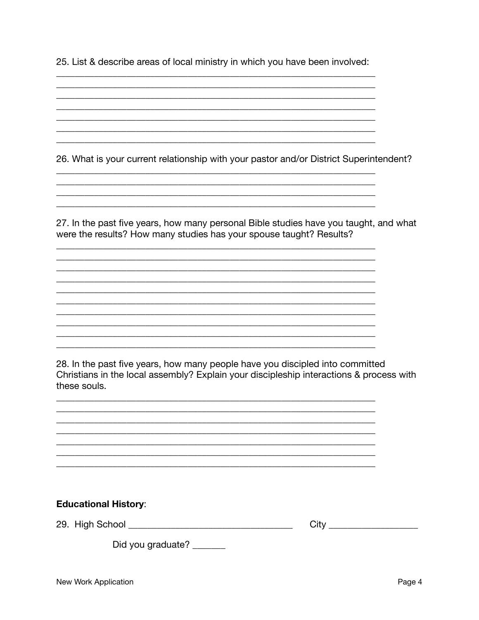25. List & describe areas of local ministry in which you have been involved:

26. What is your current relationship with your pastor and/or District Superintendent?

27. In the past five years, how many personal Bible studies have you taught, and what were the results? How many studies has your spouse taught? Results?

28. In the past five years, how many people have you discipled into committed Christians in the local assembly? Explain your discipleship interactions & process with these souls.

| 29. High School |  |
|-----------------|--|
|                 |  |

Did you graduate?

**Educational History:**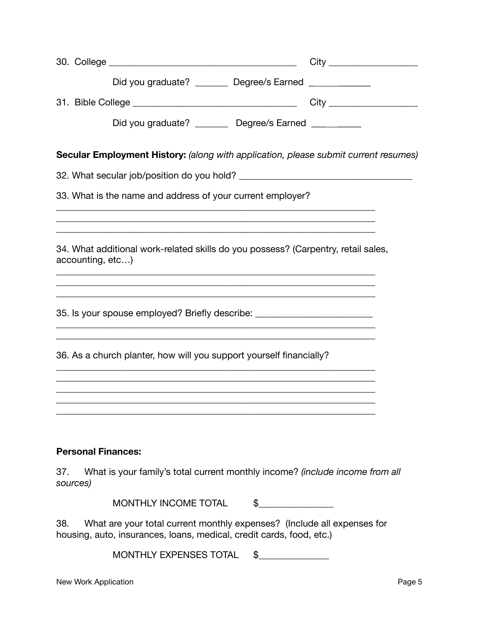|     |                           | Did you graduate? ________ Degree/s Earned _____________                                                                                                              |  |
|-----|---------------------------|-----------------------------------------------------------------------------------------------------------------------------------------------------------------------|--|
|     |                           |                                                                                                                                                                       |  |
|     |                           | Did you graduate? _________ Degree/s Earned __________                                                                                                                |  |
|     |                           | Secular Employment History: (along with application, please submit current resumes)                                                                                   |  |
|     |                           |                                                                                                                                                                       |  |
|     |                           | 33. What is the name and address of your current employer?                                                                                                            |  |
|     |                           | ,我们也不会有什么。""我们的人,我们也不会有什么?""我们的人,我们也不会有什么?""我们的人,我们也不会有什么?""我们的人,我们也不会有什么?""我们的人<br>,我们也不能在这里的时候,我们也不能在这里的时候,我们也不能会在这里的时候,我们也不能会在这里的时候,我们也不能会在这里的时候,我们也不能会在这里的时候,我们也不 |  |
|     | accounting, etc)          | 34. What additional work-related skills do you possess? (Carpentry, retail sales,                                                                                     |  |
|     |                           | 35. Is your spouse employed? Briefly describe: _________________________________<br>,我们也不能在这里的时候,我们也不能在这里的时候,我们也不能会在这里的时候,我们也不能会在这里的时候,我们也不能会在这里的时候,我们也不能会在这里的时候,我们也不 |  |
|     |                           | 36. As a church planter, how will you support yourself financially?                                                                                                   |  |
|     |                           |                                                                                                                                                                       |  |
|     |                           |                                                                                                                                                                       |  |
|     | <b>Personal Finances:</b> |                                                                                                                                                                       |  |
| 37. | sources)                  | What is your family's total current monthly income? (include income from all                                                                                          |  |
|     |                           | <b>MONTHLY INCOME TOTAL</b><br>\$                                                                                                                                     |  |

38. What are your total current monthly expenses? (Include all expenses for housing, auto, insurances, loans, medical, credit cards, food, etc.)

MONTHLY EXPENSES TOTAL \$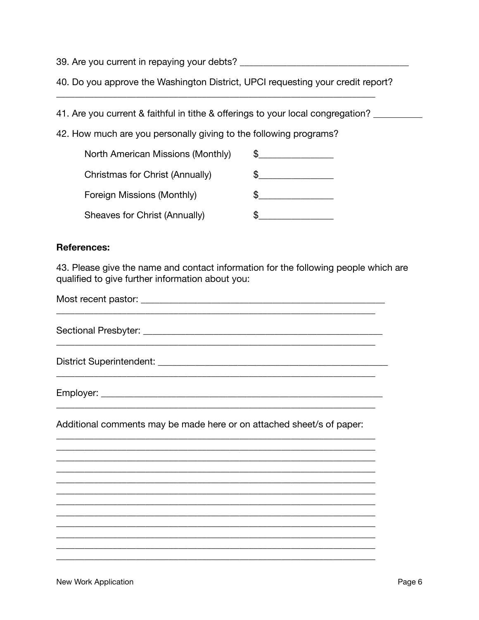40. Do you approve the Washington District, UPCI requesting your credit report?

41. Are you current & faithful in tithe & offerings to your local congregation?

42. How much are you personally giving to the following programs?

| North American Missions (Monthly) |  |
|-----------------------------------|--|
| Christmas for Christ (Annually)   |  |
| Foreign Missions (Monthly)        |  |
| Sheaves for Christ (Annually)     |  |

#### **References:**

43. Please give the name and contact information for the following people which are qualified to give further information about you:

District Superintendent: University of the Contract of the Contract of the Contract of the Contract of the Contract of the Contract of the Contract of the Contract of the Contract of the Contract of the Contract of the Con <u> 1989 - Johann Stoff, deutscher Stoff, der Stoff, der Stoff, der Stoff, der Stoff, der Stoff, der Stoff, der S</u> Additional comments may be made here or on attached sheet/s of paper: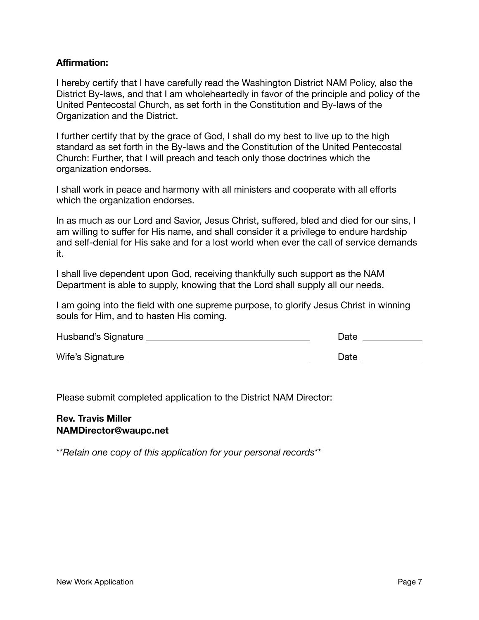#### **Affirmation:**

I hereby certify that I have carefully read the Washington District NAM Policy, also the District By-laws, and that I am wholeheartedly in favor of the principle and policy of the United Pentecostal Church, as set forth in the Constitution and By-laws of the Organization and the District.

I further certify that by the grace of God, I shall do my best to live up to the high standard as set forth in the By-laws and the Constitution of the United Pentecostal Church: Further, that I will preach and teach only those doctrines which the organization endorses.

I shall work in peace and harmony with all ministers and cooperate with all efforts which the organization endorses.

In as much as our Lord and Savior, Jesus Christ, suffered, bled and died for our sins, I am willing to suffer for His name, and shall consider it a privilege to endure hardship and self-denial for His sake and for a lost world when ever the call of service demands it.

I shall live dependent upon God, receiving thankfully such support as the NAM Department is able to supply, knowing that the Lord shall supply all our needs.

I am going into the field with one supreme purpose, to glorify Jesus Christ in winning souls for Him, and to hasten His coming.

| Husband's Signature | Date |
|---------------------|------|
| Wife's Signature    | Date |

Please submit completed application to the District NAM Director:

#### **Rev. Travis Miller NAMDirector@waupc.net**

\*\**Retain one copy of this application for your personal records*\*\*